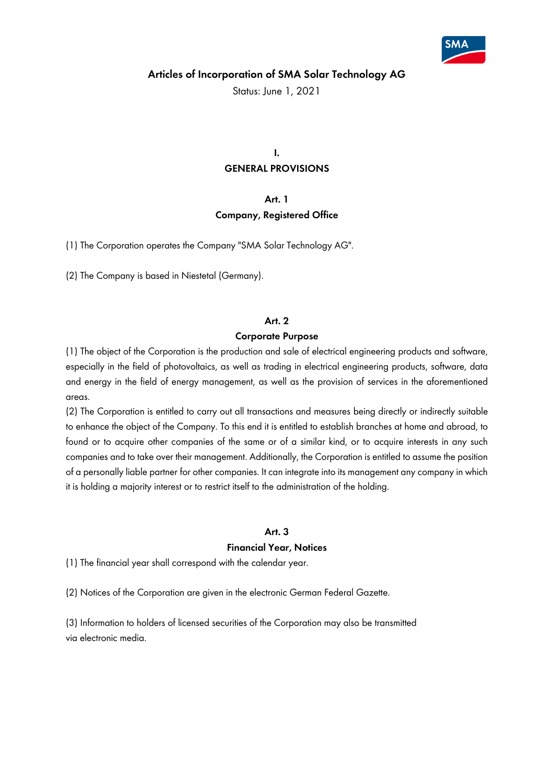

Status: June 1, 2021

# **I. GENERAL PROVISIONS**

# **Art. 1 Company, Registered Office**

(1) The Corporation operates the Company "SMA Solar Technology AG".

(2) The Company is based in Niestetal (Germany).

### **Art. 2**

#### **Corporate Purpose**

(1) The object of the Corporation is the production and sale of electrical engineering products and software, especially in the field of photovoltaics, as well as trading in electrical engineering products, software, data and energy in the field of energy management, as well as the provision of services in the aforementioned areas.

(2) The Corporation is entitled to carry out all transactions and measures being directly or indirectly suitable to enhance the object of the Company. To this end it is entitled to establish branches at home and abroad, to found or to acquire other companies of the same or of a similar kind, or to acquire interests in any such companies and to take over their management. Additionally, the Corporation is entitled to assume the position of a personally liable partner for other companies. It can integrate into its management any company in which it is holding a majority interest or to restrict itself to the administration of the holding.

#### **Art. 3**

#### **Financial Year, Notices**

(1) The financial year shall correspond with the calendar year.

(2) Notices of the Corporation are given in the electronic German Federal Gazette.

(3) Information to holders of licensed securities of the Corporation may also be transmitted via electronic media.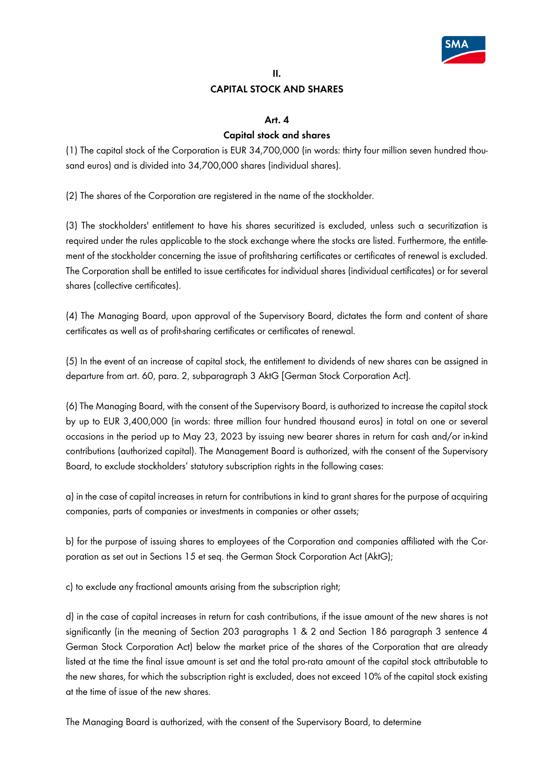

## **II. CAPITAL STOCK AND SHARES**

### **Art. 4**

## **Capital stock and shares**

(1) The capital stock of the Corporation is EUR 34,700,000 (in words: thirty four million seven hundred thousand euros) and is divided into 34,700,000 shares (individual shares).

(2) The shares of the Corporation are registered in the name of the stockholder.

(3) The stockholders' entitlement to have his shares securitized is excluded, unless such a securitization is required under the rules applicable to the stock exchange where the stocks are listed. Furthermore, the entitlement of the stockholder concerning the issue of profitsharing certificates or certificates of renewal is excluded. The Corporation shall be entitled to issue certificates for individual shares (individual certificates) or for several shares (collective certificates).

(4) The Managing Board, upon approval of the Supervisory Board, dictates the form and content of share certificates as well as of profit-sharing certificates or certificates of renewal.

(5) In the event of an increase of capital stock, the entitlement to dividends of new shares can be assigned in departure from art. 60, para. 2, subparagraph 3 AktG [German Stock Corporation Act].

(6) The Managing Board, with the consent of the Supervisory Board, is authorized to increase the capital stock by up to EUR 3,400,000 (in words: three million four hundred thousand euros) in total on one or several occasions in the period up to May 23, 2023 by issuing new bearer shares in return for cash and/or in-kind contributions (authorized capital). The Management Board is authorized, with the consent of the Supervisory Board, to exclude stockholders' statutory subscription rights in the following cases:

a) in the case of capital increases in return for contributions in kind to grant shares for the purpose of acquiring companies, parts of companies or investments in companies or other assets;

b) for the purpose of issuing shares to employees of the Corporation and companies affiliated with the Corporation as set out in Sections 15 et seq. the German Stock Corporation Act (AktG);

c) to exclude any fractional amounts arising from the subscription right;

d) in the case of capital increases in return for cash contributions, if the issue amount of the new shares is not significantly (in the meaning of Section 203 paragraphs 1 & 2 and Section 186 paragraph 3 sentence 4 German Stock Corporation Act) below the market price of the shares of the Corporation that are already listed at the time the final issue amount is set and the total pro-rata amount of the capital stock attributable to the new shares, for which the subscription right is excluded, does not exceed 10% of the capital stock existing at the time of issue of the new shares.

The Managing Board is authorized, with the consent of the Supervisory Board, to determine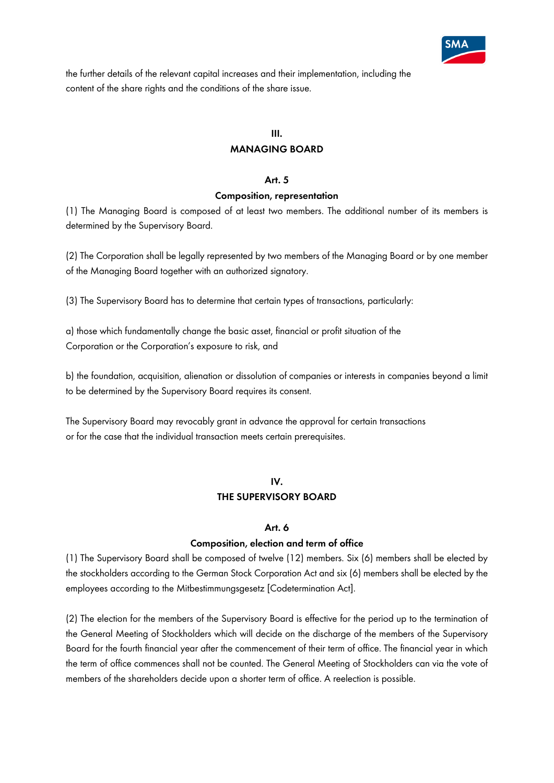

the further details of the relevant capital increases and their implementation, including the content of the share rights and the conditions of the share issue.

### **III.**

## **MANAGING BOARD**

#### **Art. 5**

#### **Composition, representation**

(1) The Managing Board is composed of at least two members. The additional number of its members is determined by the Supervisory Board.

(2) The Corporation shall be legally represented by two members of the Managing Board or by one member of the Managing Board together with an authorized signatory.

(3) The Supervisory Board has to determine that certain types of transactions, particularly:

a) those which fundamentally change the basic asset, financial or profit situation of the Corporation or the Corporation's exposure to risk, and

b) the foundation, acquisition, alienation or dissolution of companies or interests in companies beyond a limit to be determined by the Supervisory Board requires its consent.

The Supervisory Board may revocably grant in advance the approval for certain transactions or for the case that the individual transaction meets certain prerequisites.

# **IV. THE SUPERVISORY BOARD**

### **Art. 6**

### **Composition, election and term of office**

(1) The Supervisory Board shall be composed of twelve (12) members. Six (6) members shall be elected by the stockholders according to the German Stock Corporation Act and six (6) members shall be elected by the employees according to the Mitbestimmungsgesetz [Codetermination Act].

(2) The election for the members of the Supervisory Board is effective for the period up to the termination of the General Meeting of Stockholders which will decide on the discharge of the members of the Supervisory Board for the fourth financial year after the commencement of their term of office. The financial year in which the term of office commences shall not be counted. The General Meeting of Stockholders can via the vote of members of the shareholders decide upon a shorter term of office. A reelection is possible.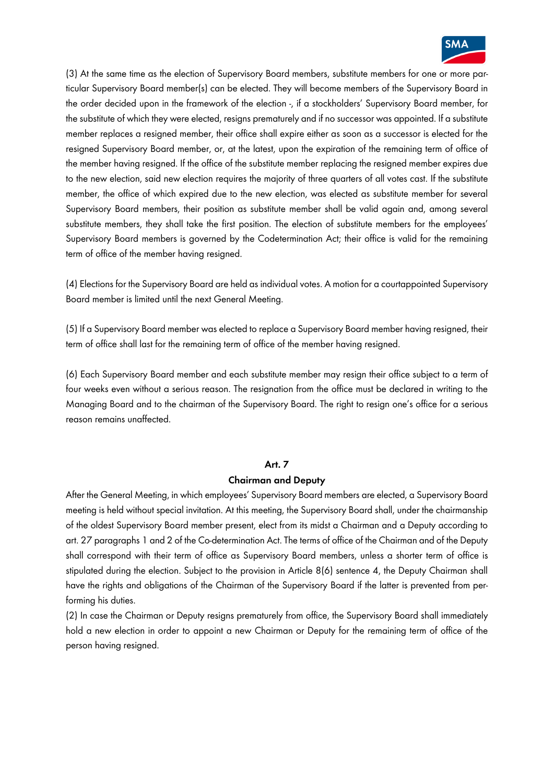

(3) At the same time as the election of Supervisory Board members, substitute members for one or more particular Supervisory Board member(s) can be elected. They will become members of the Supervisory Board in the order decided upon in the framework of the election -, if a stockholders' Supervisory Board member, for the substitute of which they were elected, resigns prematurely and if no successor was appointed. If a substitute member replaces a resigned member, their office shall expire either as soon as a successor is elected for the resigned Supervisory Board member, or, at the latest, upon the expiration of the remaining term of office of the member having resigned. If the office of the substitute member replacing the resigned member expires due to the new election, said new election requires the majority of three quarters of all votes cast. If the substitute member, the office of which expired due to the new election, was elected as substitute member for several Supervisory Board members, their position as substitute member shall be valid again and, among several substitute members, they shall take the first position. The election of substitute members for the employees' Supervisory Board members is governed by the Codetermination Act; their office is valid for the remaining term of office of the member having resigned.

(4) Elections for the Supervisory Board are held as individual votes. A motion for a courtappointed Supervisory Board member is limited until the next General Meeting.

(5) If a Supervisory Board member was elected to replace a Supervisory Board member having resigned, their term of office shall last for the remaining term of office of the member having resigned.

(6) Each Supervisory Board member and each substitute member may resign their office subject to a term of four weeks even without a serious reason. The resignation from the office must be declared in writing to the Managing Board and to the chairman of the Supervisory Board. The right to resign one's office for a serious reason remains unaffected.

#### **Art. 7**

#### **Chairman and Deputy**

After the General Meeting, in which employees' Supervisory Board members are elected, a Supervisory Board meeting is held without special invitation. At this meeting, the Supervisory Board shall, under the chairmanship of the oldest Supervisory Board member present, elect from its midst a Chairman and a Deputy according to art. 27 paragraphs 1 and 2 of the Co-determination Act. The terms of office of the Chairman and of the Deputy shall correspond with their term of office as Supervisory Board members, unless a shorter term of office is stipulated during the election. Subject to the provision in Article 8(6) sentence 4, the Deputy Chairman shall have the rights and obligations of the Chairman of the Supervisory Board if the latter is prevented from performing his duties.

(2) In case the Chairman or Deputy resigns prematurely from office, the Supervisory Board shall immediately hold a new election in order to appoint a new Chairman or Deputy for the remaining term of office of the person having resigned.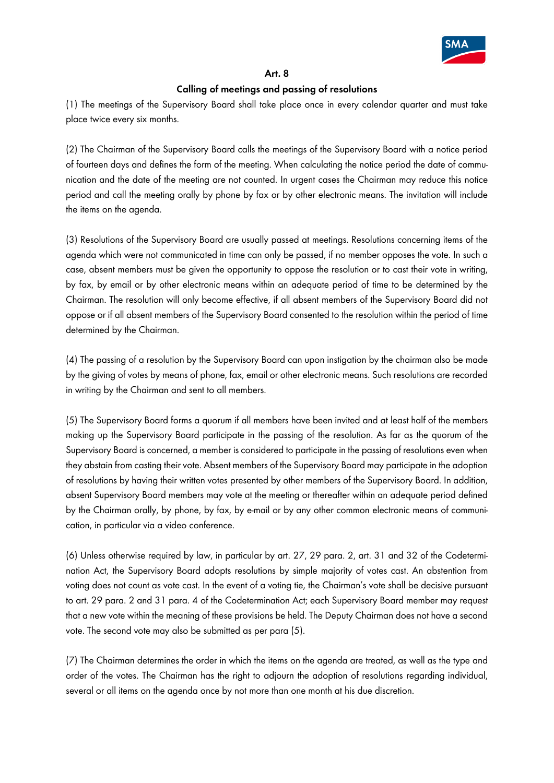

### **Art. 8**

### **Calling of meetings and passing of resolutions**

(1) The meetings of the Supervisory Board shall take place once in every calendar quarter and must take place twice every six months.

(2) The Chairman of the Supervisory Board calls the meetings of the Supervisory Board with a notice period of fourteen days and defines the form of the meeting. When calculating the notice period the date of communication and the date of the meeting are not counted. In urgent cases the Chairman may reduce this notice period and call the meeting orally by phone by fax or by other electronic means. The invitation will include the items on the agenda.

(3) Resolutions of the Supervisory Board are usually passed at meetings. Resolutions concerning items of the agenda which were not communicated in time can only be passed, if no member opposes the vote. In such a case, absent members must be given the opportunity to oppose the resolution or to cast their vote in writing, by fax, by email or by other electronic means within an adequate period of time to be determined by the Chairman. The resolution will only become effective, if all absent members of the Supervisory Board did not oppose or if all absent members of the Supervisory Board consented to the resolution within the period of time determined by the Chairman.

(4) The passing of a resolution by the Supervisory Board can upon instigation by the chairman also be made by the giving of votes by means of phone, fax, email or other electronic means. Such resolutions are recorded in writing by the Chairman and sent to all members.

(5) The Supervisory Board forms a quorum if all members have been invited and at least half of the members making up the Supervisory Board participate in the passing of the resolution. As far as the quorum of the Supervisory Board is concerned, a member is considered to participate in the passing of resolutions even when they abstain from casting their vote. Absent members of the Supervisory Board may participate in the adoption of resolutions by having their written votes presented by other members of the Supervisory Board. In addition, absent Supervisory Board members may vote at the meeting or thereafter within an adequate period defined by the Chairman orally, by phone, by fax, by e-mail or by any other common electronic means of communication, in particular via a video conference.

(6) Unless otherwise required by law, in particular by art. 27, 29 para. 2, art. 31 and 32 of the Codetermination Act, the Supervisory Board adopts resolutions by simple majority of votes cast. An abstention from voting does not count as vote cast. In the event of a voting tie, the Chairman's vote shall be decisive pursuant to art. 29 para. 2 and 31 para. 4 of the Codetermination Act; each Supervisory Board member may request that a new vote within the meaning of these provisions be held. The Deputy Chairman does not have a second vote. The second vote may also be submitted as per para (5).

(7) The Chairman determines the order in which the items on the agenda are treated, as well as the type and order of the votes. The Chairman has the right to adjourn the adoption of resolutions regarding individual, several or all items on the agenda once by not more than one month at his due discretion.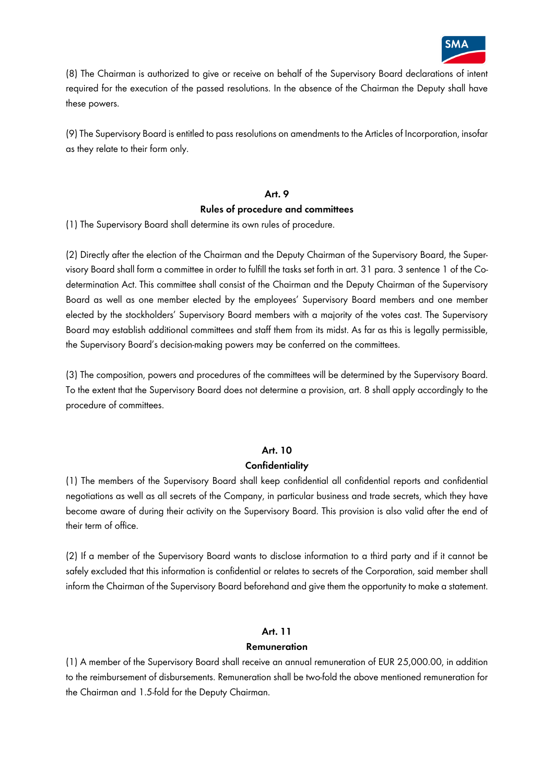

(8) The Chairman is authorized to give or receive on behalf of the Supervisory Board declarations of intent required for the execution of the passed resolutions. In the absence of the Chairman the Deputy shall have these powers.

(9) The Supervisory Board is entitled to pass resolutions on amendments to the Articles of Incorporation, insofar as they relate to their form only.

#### **Art. 9**

#### **Rules of procedure and committees**

(1) The Supervisory Board shall determine its own rules of procedure.

(2) Directly after the election of the Chairman and the Deputy Chairman of the Supervisory Board, the Supervisory Board shall form a committee in order to fulfill the tasks set forth in art. 31 para. 3 sentence 1 of the Codetermination Act. This committee shall consist of the Chairman and the Deputy Chairman of the Supervisory Board as well as one member elected by the employees' Supervisory Board members and one member elected by the stockholders' Supervisory Board members with a majority of the votes cast. The Supervisory Board may establish additional committees and staff them from its midst. As far as this is legally permissible, the Supervisory Board's decision-making powers may be conferred on the committees.

(3) The composition, powers and procedures of the committees will be determined by the Supervisory Board. To the extent that the Supervisory Board does not determine a provision, art. 8 shall apply accordingly to the procedure of committees.

### **Art. 10**

### **Confidentiality**

(1) The members of the Supervisory Board shall keep confidential all confidential reports and confidential negotiations as well as all secrets of the Company, in particular business and trade secrets, which they have become aware of during their activity on the Supervisory Board. This provision is also valid after the end of their term of office.

(2) If a member of the Supervisory Board wants to disclose information to a third party and if it cannot be safely excluded that this information is confidential or relates to secrets of the Corporation, said member shall inform the Chairman of the Supervisory Board beforehand and give them the opportunity to make a statement.

### **Art. 11**

### **Remuneration**

(1) A member of the Supervisory Board shall receive an annual remuneration of EUR 25,000.00, in addition to the reimbursement of disbursements. Remuneration shall be two-fold the above mentioned remuneration for the Chairman and 1.5-fold for the Deputy Chairman.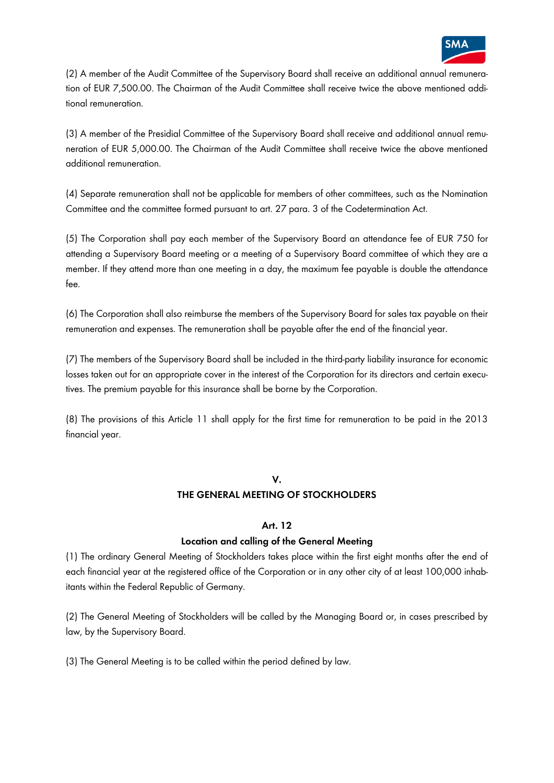

(2) A member of the Audit Committee of the Supervisory Board shall receive an additional annual remuneration of EUR 7,500.00. The Chairman of the Audit Committee shall receive twice the above mentioned additional remuneration.

(3) A member of the Presidial Committee of the Supervisory Board shall receive and additional annual remuneration of EUR 5,000.00. The Chairman of the Audit Committee shall receive twice the above mentioned additional remuneration.

(4) Separate remuneration shall not be applicable for members of other committees, such as the Nomination Committee and the committee formed pursuant to art. 27 para. 3 of the Codetermination Act.

(5) The Corporation shall pay each member of the Supervisory Board an attendance fee of EUR 750 for attending a Supervisory Board meeting or a meeting of a Supervisory Board committee of which they are a member. If they attend more than one meeting in a day, the maximum fee payable is double the attendance fee.

(6) The Corporation shall also reimburse the members of the Supervisory Board for sales tax payable on their remuneration and expenses. The remuneration shall be payable after the end of the financial year.

(7) The members of the Supervisory Board shall be included in the third-party liability insurance for economic losses taken out for an appropriate cover in the interest of the Corporation for its directors and certain executives. The premium payable for this insurance shall be borne by the Corporation.

(8) The provisions of this Article 11 shall apply for the first time for remuneration to be paid in the 2013 financial year.

### **V.**

# **THE GENERAL MEETING OF STOCKHOLDERS**

### **Art. 12**

# **Location and calling of the General Meeting**

(1) The ordinary General Meeting of Stockholders takes place within the first eight months after the end of each financial year at the registered office of the Corporation or in any other city of at least 100,000 inhabitants within the Federal Republic of Germany.

(2) The General Meeting of Stockholders will be called by the Managing Board or, in cases prescribed by law, by the Supervisory Board.

(3) The General Meeting is to be called within the period defined by law.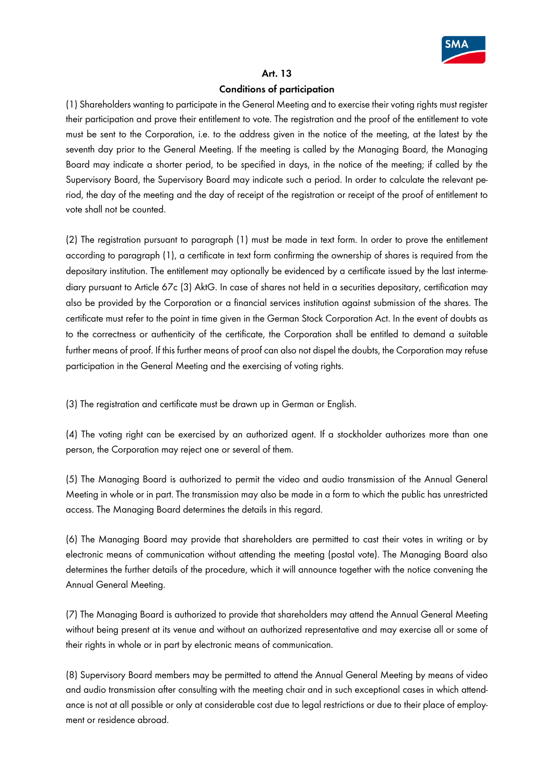

#### **Art. 13**

## **Conditions of participation**

(1) Shareholders wanting to participate in the General Meeting and to exercise their voting rights must register their participation and prove their entitlement to vote. The registration and the proof of the entitlement to vote must be sent to the Corporation, i.e. to the address given in the notice of the meeting, at the latest by the seventh day prior to the General Meeting. If the meeting is called by the Managing Board, the Managing Board may indicate a shorter period, to be specified in days, in the notice of the meeting; if called by the Supervisory Board, the Supervisory Board may indicate such a period. In order to calculate the relevant period, the day of the meeting and the day of receipt of the registration or receipt of the proof of entitlement to vote shall not be counted.

(2) The registration pursuant to paragraph (1) must be made in text form. In order to prove the entitlement according to paragraph (1), a certificate in text form confirming the ownership of shares is required from the depositary institution. The entitlement may optionally be evidenced by a certificate issued by the last intermediary pursuant to Article 67c (3) AktG. In case of shares not held in a securities depositary, certification may also be provided by the Corporation or a financial services institution against submission of the shares. The certificate must refer to the point in time given in the German Stock Corporation Act. In the event of doubts as to the correctness or authenticity of the certificate, the Corporation shall be entitled to demand a suitable further means of proof. If this further means of proof can also not dispel the doubts, the Corporation may refuse participation in the General Meeting and the exercising of voting rights.

(3) The registration and certificate must be drawn up in German or English.

(4) The voting right can be exercised by an authorized agent. If a stockholder authorizes more than one person, the Corporation may reject one or several of them.

(5) The Managing Board is authorized to permit the video and audio transmission of the Annual General Meeting in whole or in part. The transmission may also be made in a form to which the public has unrestricted access. The Managing Board determines the details in this regard.

(6) The Managing Board may provide that shareholders are permitted to cast their votes in writing or by electronic means of communication without attending the meeting (postal vote). The Managing Board also determines the further details of the procedure, which it will announce together with the notice convening the Annual General Meeting.

(7) The Managing Board is authorized to provide that shareholders may attend the Annual General Meeting without being present at its venue and without an authorized representative and may exercise all or some of their rights in whole or in part by electronic means of communication.

(8) Supervisory Board members may be permitted to attend the Annual General Meeting by means of video and audio transmission after consulting with the meeting chair and in such exceptional cases in which attendance is not at all possible or only at considerable cost due to legal restrictions or due to their place of employment or residence abroad.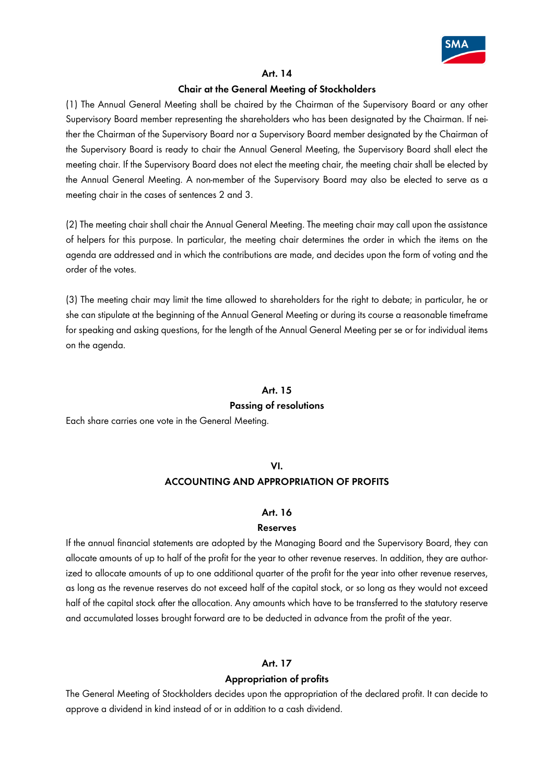

#### **Art. 14**

### **Chair at the General Meeting of Stockholders**

(1) The Annual General Meeting shall be chaired by the Chairman of the Supervisory Board or any other Supervisory Board member representing the shareholders who has been designated by the Chairman. If neither the Chairman of the Supervisory Board nor a Supervisory Board member designated by the Chairman of the Supervisory Board is ready to chair the Annual General Meeting, the Supervisory Board shall elect the meeting chair. If the Supervisory Board does not elect the meeting chair, the meeting chair shall be elected by the Annual General Meeting. A non-member of the Supervisory Board may also be elected to serve as a meeting chair in the cases of sentences 2 and 3.

(2) The meeting chair shall chair the Annual General Meeting. The meeting chair may call upon the assistance of helpers for this purpose. In particular, the meeting chair determines the order in which the items on the agenda are addressed and in which the contributions are made, and decides upon the form of voting and the order of the votes.

(3) The meeting chair may limit the time allowed to shareholders for the right to debate; in particular, he or she can stipulate at the beginning of the Annual General Meeting or during its course a reasonable timeframe for speaking and asking questions, for the length of the Annual General Meeting per se or for individual items on the agenda.

#### **Art. 15**

#### **Passing of resolutions**

Each share carries one vote in the General Meeting.

#### **VI.**

### **ACCOUNTING AND APPROPRIATION OF PROFITS**

#### **Art. 16**

### **Reserves**

If the annual financial statements are adopted by the Managing Board and the Supervisory Board, they can allocate amounts of up to half of the profit for the year to other revenue reserves. In addition, they are authorized to allocate amounts of up to one additional quarter of the profit for the year into other revenue reserves, as long as the revenue reserves do not exceed half of the capital stock, or so long as they would not exceed half of the capital stock after the allocation. Any amounts which have to be transferred to the statutory reserve and accumulated losses brought forward are to be deducted in advance from the profit of the year.

### **Art. 17**

### **Appropriation of profits**

The General Meeting of Stockholders decides upon the appropriation of the declared profit. It can decide to approve a dividend in kind instead of or in addition to a cash dividend.